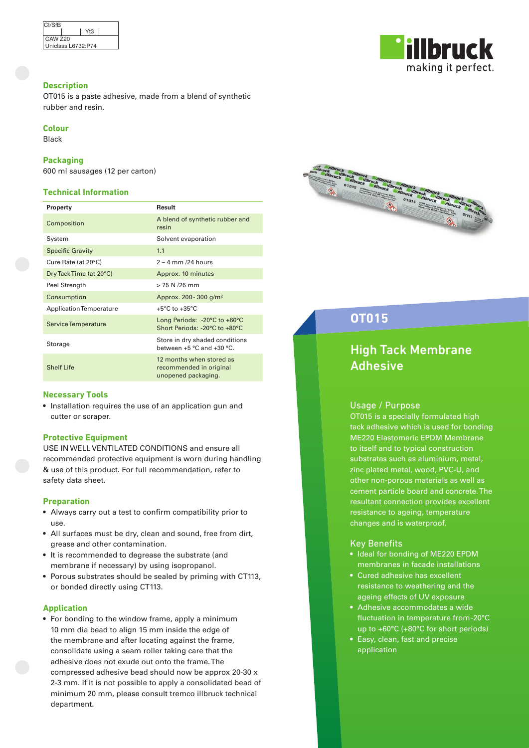| <b>CI/SfB</b>      |  |     |  |  |
|--------------------|--|-----|--|--|
|                    |  | Yt3 |  |  |
| <b>CAW Z20</b>     |  |     |  |  |
| Uniclass L6732:P74 |  |     |  |  |

# **Description**

OT015 is a paste adhesive, made from a blend of synthetic rubber and resin.

# **Colour**

Black

### **Packaging**

600 ml sausages (12 per carton)

# **Technical Information**

| Property                | Result                                                                            |
|-------------------------|-----------------------------------------------------------------------------------|
| Composition             | A blend of synthetic rubber and<br>resin                                          |
| System                  | Solvent evaporation                                                               |
| <b>Specific Gravity</b> | 1.1                                                                               |
| Cure Rate (at 20°C)     | $2 - 4$ mm $/24$ hours                                                            |
| Dry Tack Time (at 20°C) | Approx. 10 minutes                                                                |
| Peel Strength           | $>$ 75 N $/25$ mm                                                                 |
| Consumption             | Approx. 200 - 300 g/m <sup>2</sup>                                                |
| Application Temperature | $+5^{\circ}$ C to $+35^{\circ}$ C                                                 |
| Service Temperature     | Long Periods: $-20^{\circ}$ C to $+60^{\circ}$ C<br>Short Periods: -20°C to +80°C |
| Storage                 | Store in dry shaded conditions<br>between +5 °C and +30 °C.                       |
| <b>Shelf Life</b>       | 12 months when stored as<br>recommended in original<br>unopened packaging.        |

#### **Necessary Tools**

• Installation requires the use of an application gun and cutter or scraper.

#### **Protective Equipment**

USE IN WELL VENTILATED CONDITIONS and ensure all recommended protective equipment is worn during handling & use of this product. For full recommendation, refer to safety data sheet.

#### **Preparation**

- Always carry out a test to confirm compatibility prior to use.
- All surfaces must be dry, clean and sound, free from dirt, grease and other contamination.
- It is recommended to degrease the substrate (and membrane if necessary) by using isopropanol.
- Porous substrates should be sealed by priming with CT113, or bonded directly using CT113.

#### **Application**

• For bonding to the window frame, apply a minimum 10 mm dia bead to align 15 mm inside the edge of the membrane and after locating against the frame, consolidate using a seam roller taking care that the adhesive does not exude out onto the frame. The compressed adhesive bead should now be approx 20-30 x 2-3 mm. If it is not possible to apply a consolidated bead of minimum 20 mm, please consult tremco illbruck technical department.





# **OT015**

# High Tack Membrane Adhesive

#### Usage / Purpose

OT015 is a specially formulated high tack adhesive which is used for bonding ME220 Elastomeric EPDM Membrane to itself and to typical construction substrates such as aluminium, metal, zinc plated metal, wood, PVC-U, and other non-porous materials as well as cement particle board and concrete. The resultant connection provides excellent resistance to ageing, temperature changes and is waterproof.

### Key Benefits

- Ideal for bonding of ME220 EPDM membranes in facade installations
- Cured adhesive has excellent resistance to weathering and the ageing effects of UV exposure
- Adhesive accommodates a wide fluctuation in temperature from -20°C up to +60°C (+80°C for short periods)
- Easy, clean, fast and precise application